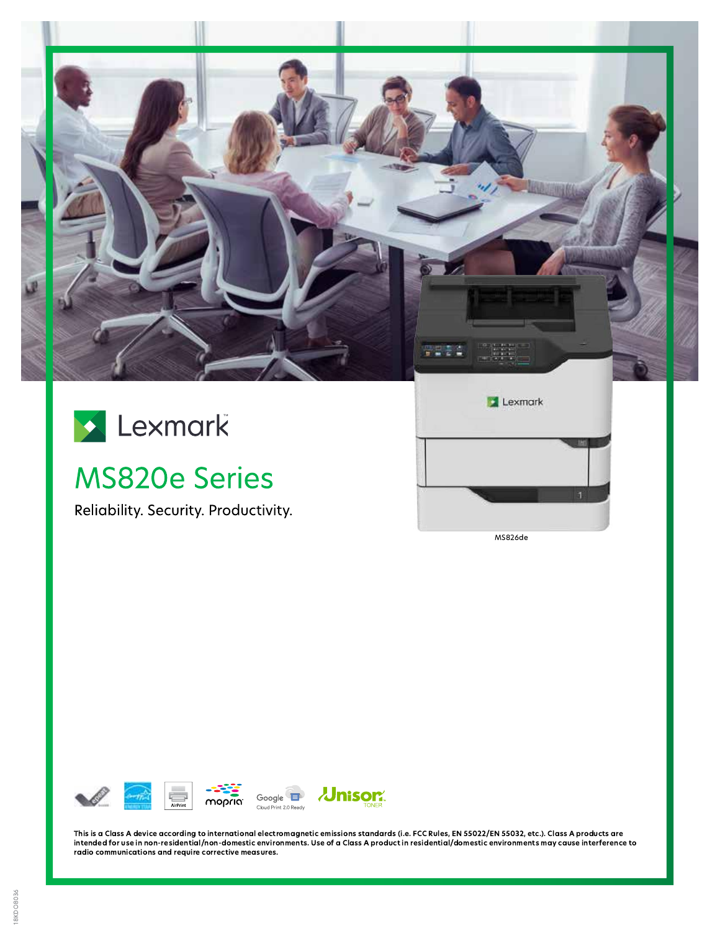



# **MS820e Series**

Reliability. Security. Productivity.





This is a Class A device according to international electromagnetic emissions standards (i.e. FCC Rules, EN 55022/EN 55032, etc.). Class A products are intended for use in non-residential/non-domestic environments. Use of a Class A product in residential/domestic environments may cause interference to radio communications and require corrective measures.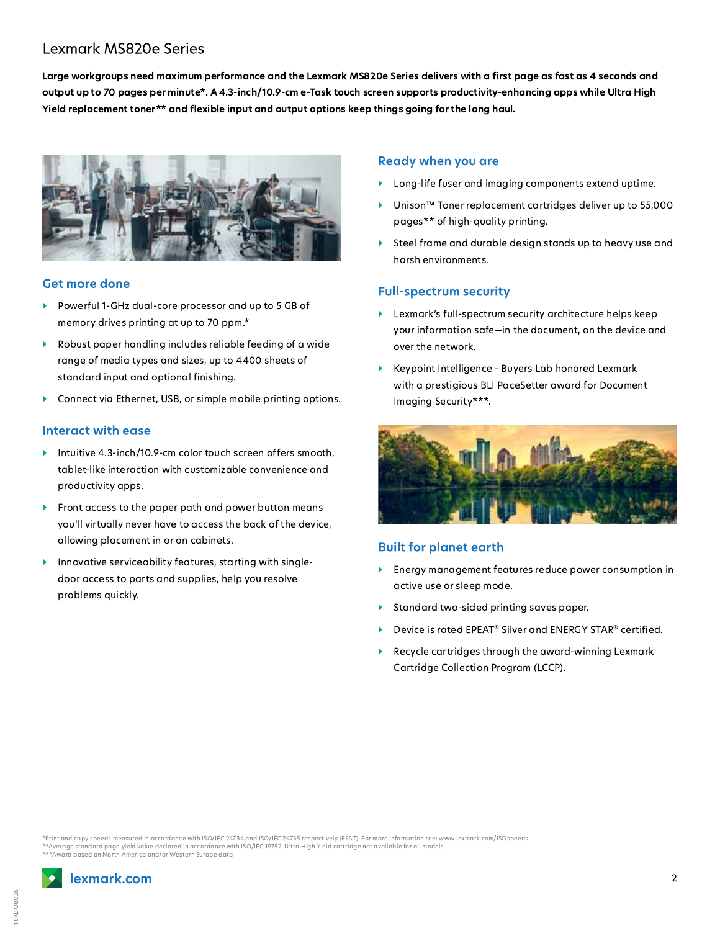## **Lexmark MS820e Series**

Large workgroups need maximum performance and the Lexmark MS820e Series delivers with a first page as fast as 4 seconds and output up to 70 pages per minute\*. A 4.3-inch/10.9-cm e-Task touch screen supports productivity-enhancing apps while Ultra High Yield replacement toner\*\* and flexible input and output options keep things going for the long haul.



#### **Get more done**

- Powerful 1-GHz dual-core processor and up to 5 GB of memory drives printing at up to 70 ppm.\*
- Robust paper handling includes reliable feeding of a wide range of media types and sizes, up to 4400 sheets of standard input and optional finishing.
- Connect via Ethernet, USB, or simple mobile printing options.

#### Interact with ease

- Intuitive 4.3-inch/10.9-cm color touch screen offers smooth, tablet-like interaction with customizable convenience and productivity apps.
- Front access to the paper path and power button means you'll virtually never have to access the back of the device, allowing placement in or on cabinets.
- Innovative serviceability features, starting with single- $\blacktriangleright$ door access to parts and supplies, help you resolve problems quickly.

#### **Ready when you are**

- Long-life fuser and imaging components extend uptime.
- ¥ Unison<sup>™</sup> Toner replacement cartridges deliver up to 55,000 pages\*\* of high-quality printing.
- Steel frame and durable design stands up to heavy use and harsh environments.

#### **Full-spectrum security**

- Examerative full-spectrum security architecture helps keep your information safe-in the document, on the device and over the network.
- Keypoint Intelligence Buyers Lab honored Lexmark with a prestigious BLI PaceSetter award for Document Imaging Security\*\*\*.



#### **Built for planet earth**

- Energy management features reduce power consumption in active use or sleep mode.
- Standard two-sided printing saves paper.
- Device is rated EPEAT<sup>®</sup> Silver and ENERGY STAR<sup>®</sup> certified.
- ¥ Recycle cartridges through the award-winning Lexmark Cartridge Collection Program (LCCP).

Print and copy speeds measured in accordance with ISO/IEC 24734 and ISO/IEC 24735 respectively (ESAT). For more information see: www.lexmark.com/ISOspeeds. \*\*Average standard page yield value declared in accordance with ISO/IEC 19752. Ultra High Yield cartridge not available for all models. \*Award based on North America and/or Western Europe data

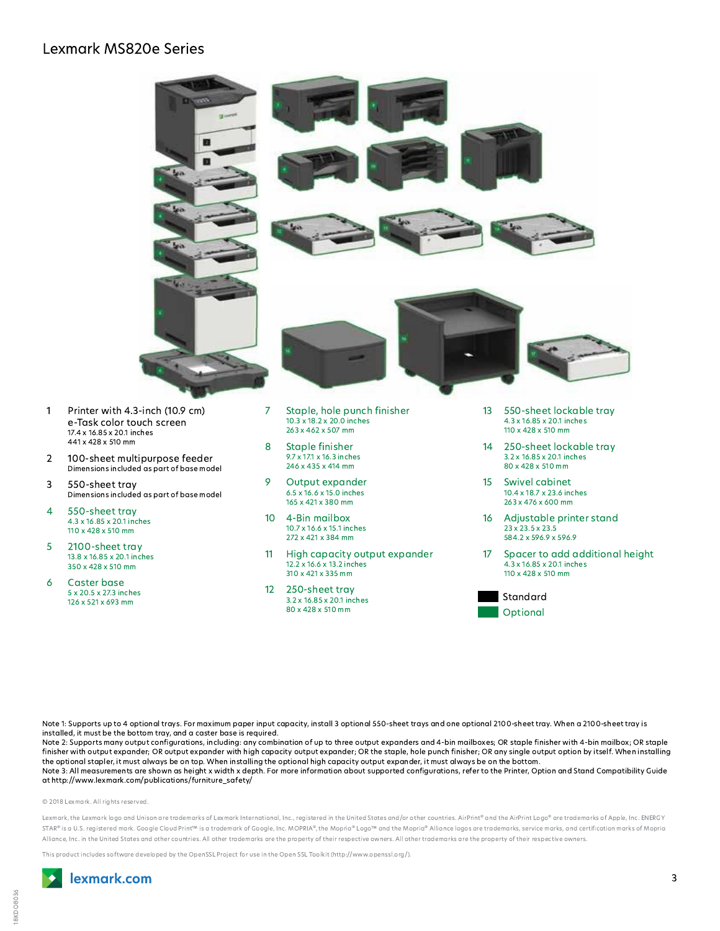### **Lexmark MS820e Series**



Note 1: Supports up to 4 optional trays. For maximum paper input capacity, install 3 optional 550-sheet trays and one optional 2100-sheet tray. When a 2100-sheet tray is installed, it must be the bottom tray, and a caster base is required.

Note 2: Supports many output configurations, including: any combination of up to three output expanders and 4-bin mailboxes; OR staple finisher with 4-bin mailbox; OR staple finisher with output expander; OR output expander with high capacity output expander; OR the staple, hole punch finisher; OR any single output option by itself. When installing the optional stapler, it must always be on top. When installing the optional high capacity output expander, it must always be on the bottom.

Note 3: All measurements are shown as height x width x depth. For more information about supported configurations, refer to the Printer, Option and Stand Compatibility Guide at http://www.lexmark.com/publications/furniture\_safety/

#### © 2018 Lexmark, All rights reserved.

1

 $\overline{2}$ 

3

4

5

6

Lexmark, the Lexmark logo and Unison are trademarks of Lexmark International, Inc., registered in the United States and/or other countries. AirPrint® and the AirPrint Logo® are trademarks of Apple, Inc. ENERGY STAR® is a U.S. registered mark. Google Cloud Print™ is a trademark of Google, Inc. MOPRIA®, the Mopria® Logo™ and the Mopria® Alliance logos are trademarks, service marks, and certification marks of Mopria Alliance, Inc. in the United States and other countries. All other trademarks are the property of their respective owners. All other trademarks are the property of their respective owners.

This product includes software developed by the OpenSSL Project for use in the Open SSL Toolkit (http://www.openssl.org/).